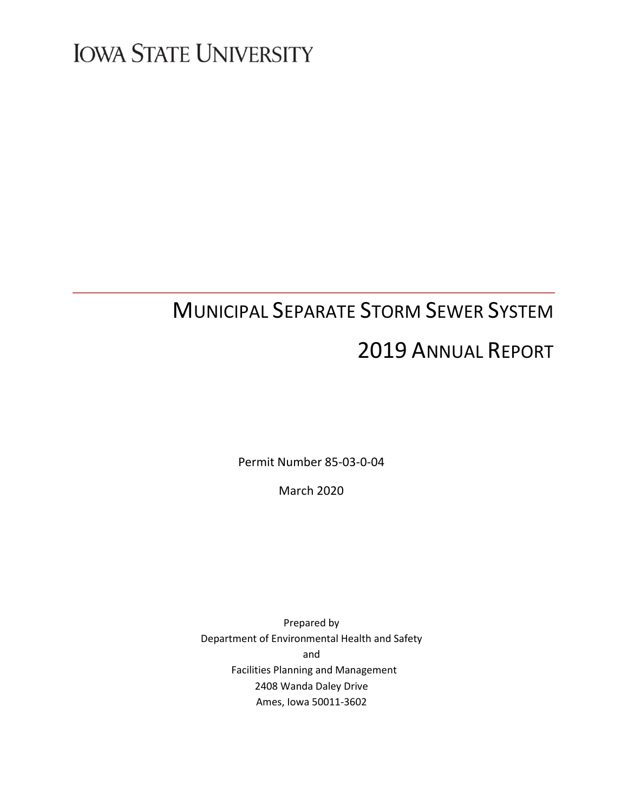# **IOWA STATE UNIVERSITY**

# MUNICIPAL SEPARATE STORM SEWER SYSTEM 2019 ANNUAL REPORT

Permit Number 85-03-0-04

March 2020

Prepared by Department of Environmental Health and Safety and Facilities Planning and Management 2408 Wanda Daley Drive Ames, Iowa 50011-3602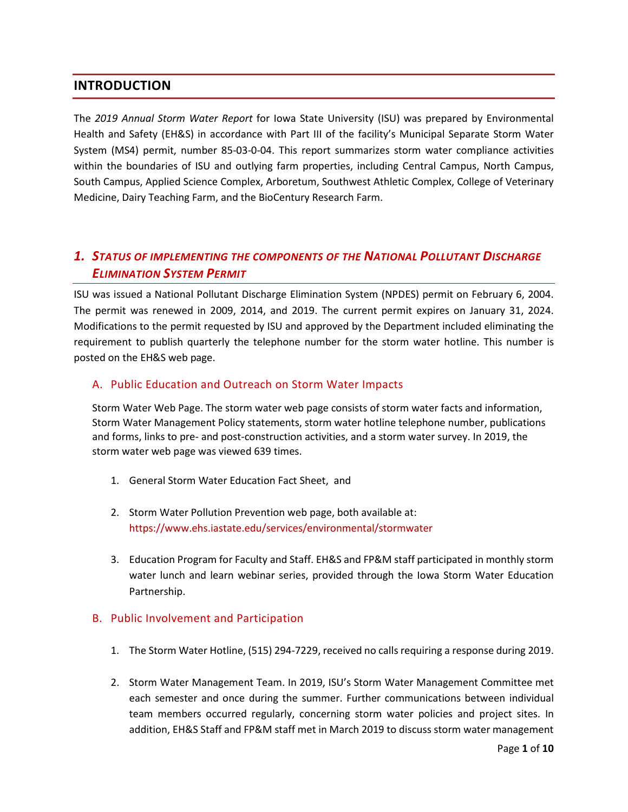# **INTRODUCTION**

The *2019 Annual Storm Water Report* for Iowa State University (ISU) was prepared by Environmental Health and Safety (EH&S) in accordance with Part III of the facility's Municipal Separate Storm Water System (MS4) permit, number 85-03-0-04. This report summarizes storm water compliance activities within the boundaries of ISU and outlying farm properties, including Central Campus, North Campus, South Campus, Applied Science Complex, Arboretum, Southwest Athletic Complex, College of Veterinary Medicine, Dairy Teaching Farm, and the BioCentury Research Farm.

# *1. STATUS OF IMPLEMENTING THE COMPONENTS OF THE NATIONAL POLLUTANT DISCHARGE ELIMINATION SYSTEM PERMIT*

ISU was issued a National Pollutant Discharge Elimination System (NPDES) permit on February 6, 2004. The permit was renewed in 2009, 2014, and 2019. The current permit expires on January 31, 2024. Modifications to the permit requested by ISU and approved by the Department included eliminating the requirement to publish quarterly the telephone number for the storm water hotline. This number is posted on the EH&S web page.

## A. Public Education and Outreach on Storm Water Impacts

Storm Water Web Page. The storm water web page consists of storm water facts and information, Storm Water Management Policy statements, storm water hotline telephone number, publications and forms, links to pre- and post-construction activities, and a storm water survey. In 2019, the storm water web page was viewed 639 times.

- 1. General Storm Water Education Fact Sheet, and
- 2. Storm Water Pollution Prevention web page, both available at: <https://www.ehs.iastate.edu/services/environmental/stormwater>
- 3. Education Program for Faculty and Staff. EH&S and FP&M staff participated in monthly storm water lunch and learn webinar series, provided through the Iowa Storm Water Education Partnership.

#### B. Public Involvement and Participation

- 1. The Storm Water Hotline, (515) 294-7229, received no calls requiring a response during 2019.
- 2. Storm Water Management Team. In 2019, ISU's Storm Water Management Committee met each semester and once during the summer. Further communications between individual team members occurred regularly, concerning storm water policies and project sites. In addition, EH&S Staff and FP&M staff met in March 2019 to discuss storm water management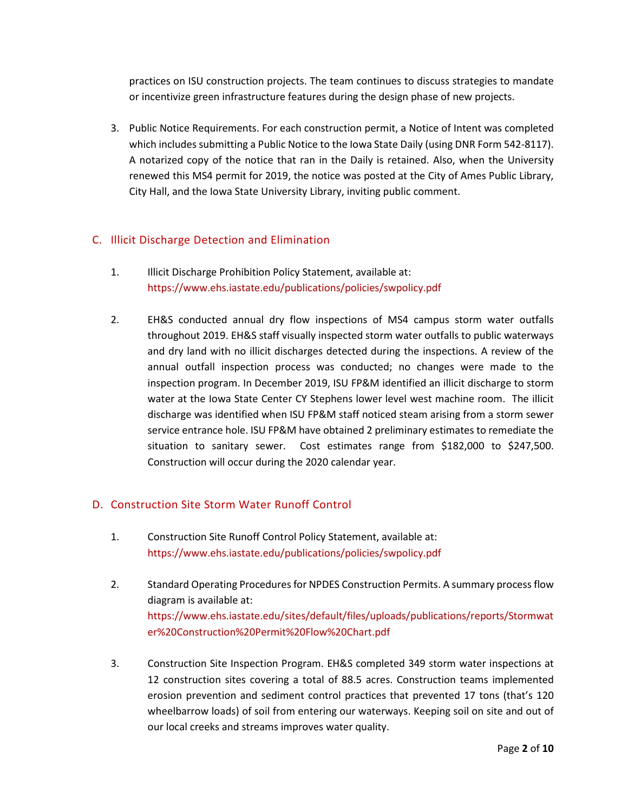practices on ISU construction projects. The team continues to discuss strategies to mandate or incentivize green infrastructure features during the design phase of new projects.

3. Public Notice Requirements. For each construction permit, a Notice of Intent was completed which includes submitting a Public Notice to the Iowa State Daily (using DNR Form 542-8117). A notarized copy of the notice that ran in the Daily is retained. Also, when the University renewed this MS4 permit for 2019, the notice was posted at the City of Ames Public Library, City Hall, and the Iowa State University Library, inviting public comment.

## C. Illicit Discharge Detection and Elimination

- 1. Illicit Discharge Prohibition Policy Statement, available at: <https://www.ehs.iastate.edu/publications/policies/swpolicy.pdf>
- 2. EH&S conducted annual dry flow inspections of MS4 campus storm water outfalls throughout 2019. EH&S staff visually inspected storm water outfalls to public waterways and dry land with no illicit discharges detected during the inspections. A review of the annual outfall inspection process was conducted; no changes were made to the inspection program. In December 2019, ISU FP&M identified an illicit discharge to storm water at the Iowa State Center CY Stephens lower level west machine room. The illicit discharge was identified when ISU FP&M staff noticed steam arising from a storm sewer service entrance hole. ISU FP&M have obtained 2 preliminary estimates to remediate the situation to sanitary sewer. Cost estimates range from \$182,000 to \$247,500. Construction will occur during the 2020 calendar year.

## D. Construction Site Storm Water Runoff Control

- 1. Construction Site Runoff Control Policy Statement, available at: <https://www.ehs.iastate.edu/publications/policies/swpolicy.pdf>
- 2. Standard Operating Procedures for NPDES Construction Permits. A summary process flow diagram is available at: [https://www.ehs.iastate.edu/sites/default/files/uploads/publications/reports/Stormwat](https://www.ehs.iastate.edu/sites/default/files/uploads/publications/reports/Stormwater%20Construction%20Permit%20Flow%20Chart.pdf) [er%20Construction%20Permit%20Flow%20Chart.pdf](https://www.ehs.iastate.edu/sites/default/files/uploads/publications/reports/Stormwater%20Construction%20Permit%20Flow%20Chart.pdf)
- 3. Construction Site Inspection Program. EH&S completed 349 storm water inspections at 12 construction sites covering a total of 88.5 acres. Construction teams implemented erosion prevention and sediment control practices that prevented 17 tons (that's 120 wheelbarrow loads) of soil from entering our waterways. Keeping soil on site and out of our local creeks and streams improves water quality.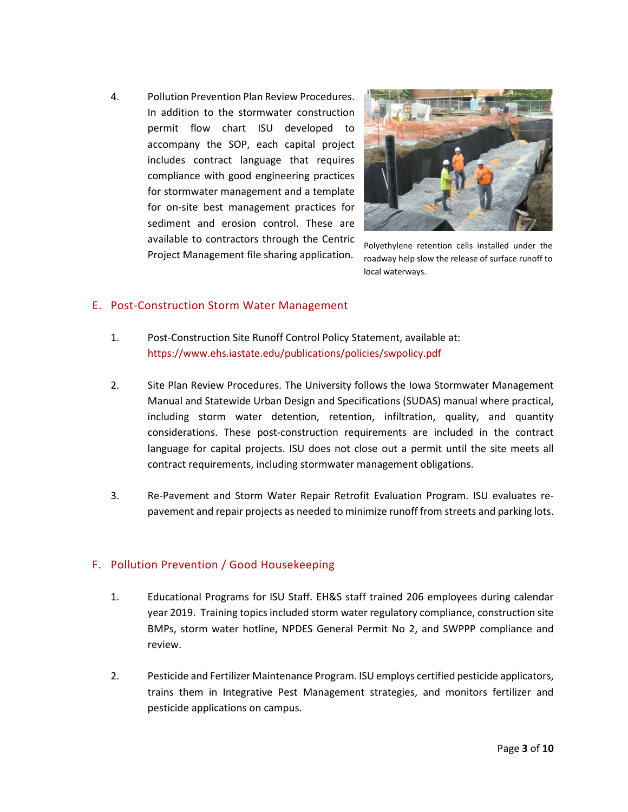4. Pollution Prevention Plan Review Procedures. In addition to the stormwater construction permit flow chart ISU developed to accompany the SOP, each capital project includes contract language that requires compliance with good engineering practices for stormwater management and a template for on-site best management practices for sediment and erosion control. These are available to contractors through the Centric Project Management file sharing application.



Polyethylene retention cells installed under the roadway help slow the release of surface runoff to local waterways.

## E. Post-Construction Storm Water Management

- 1. Post-Construction Site Runoff Control Policy Statement, available at: <https://www.ehs.iastate.edu/publications/policies/swpolicy.pdf>
- 2. Site Plan Review Procedures. The University follows the Iowa Stormwater Management Manual and Statewide Urban Design and Specifications (SUDAS) manual where practical, including storm water detention, retention, infiltration, quality, and quantity considerations. These post-construction requirements are included in the contract language for capital projects. ISU does not close out a permit until the site meets all contract requirements, including stormwater management obligations.
- 3. Re-Pavement and Storm Water Repair Retrofit Evaluation Program. ISU evaluates repavement and repair projects as needed to minimize runoff from streets and parking lots.

## F. Pollution Prevention / Good Housekeeping

- 1. Educational Programs for ISU Staff. EH&S staff trained 206 employees during calendar year 2019. Training topics included storm water regulatory compliance, construction site BMPs, storm water hotline, NPDES General Permit No 2, and SWPPP compliance and review.
- 2. Pesticide and Fertilizer Maintenance Program. ISU employs certified pesticide applicators, trains them in Integrative Pest Management strategies, and monitors fertilizer and pesticide applications on campus.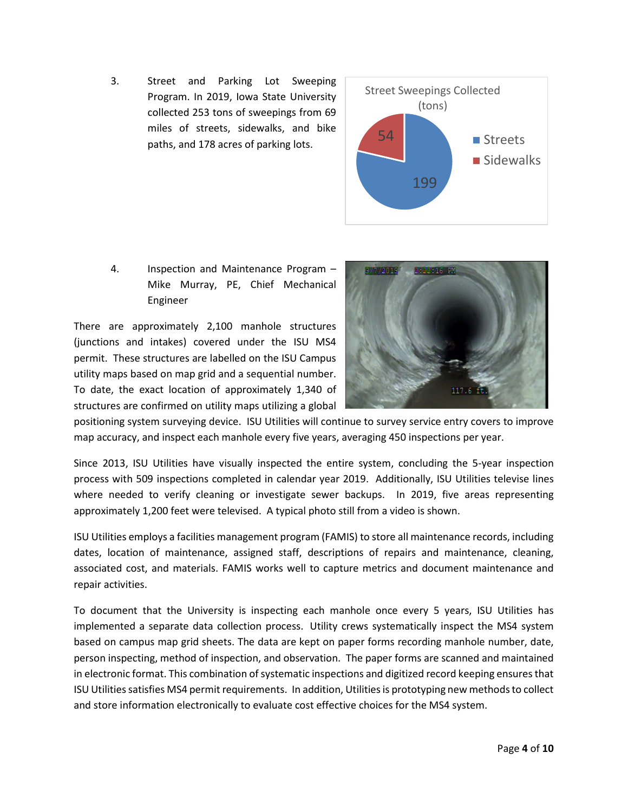3. Street and Parking Lot Sweeping Program. In 2019, Iowa State University collected 253 tons of sweepings from 69 miles of streets, sidewalks, and bike paths, and 178 acres of parking lots.



4. Inspection and Maintenance Program – Mike Murray, PE, Chief Mechanical Engineer

There are approximately 2,100 manhole structures (junctions and intakes) covered under the ISU MS4 permit. These structures are labelled on the ISU Campus utility maps based on map grid and a sequential number. To date, the exact location of approximately 1,340 of structures are confirmed on utility maps utilizing a global



positioning system surveying device. ISU Utilities will continue to survey service entry covers to improve map accuracy, and inspect each manhole every five years, averaging 450 inspections per year.

Since 2013, ISU Utilities have visually inspected the entire system, concluding the 5-year inspection process with 509 inspections completed in calendar year 2019. Additionally, ISU Utilities televise lines where needed to verify cleaning or investigate sewer backups. In 2019, five areas representing approximately 1,200 feet were televised. A typical photo still from a video is shown.

ISU Utilities employs a facilities management program (FAMIS) to store all maintenance records, including dates, location of maintenance, assigned staff, descriptions of repairs and maintenance, cleaning, associated cost, and materials. FAMIS works well to capture metrics and document maintenance and repair activities.

To document that the University is inspecting each manhole once every 5 years, ISU Utilities has implemented a separate data collection process. Utility crews systematically inspect the MS4 system based on campus map grid sheets. The data are kept on paper forms recording manhole number, date, person inspecting, method of inspection, and observation. The paper forms are scanned and maintained in electronic format. This combination of systematic inspections and digitized record keeping ensures that ISU Utilities satisfies MS4 permit requirements. In addition, Utilities is prototyping new methods to collect and store information electronically to evaluate cost effective choices for the MS4 system.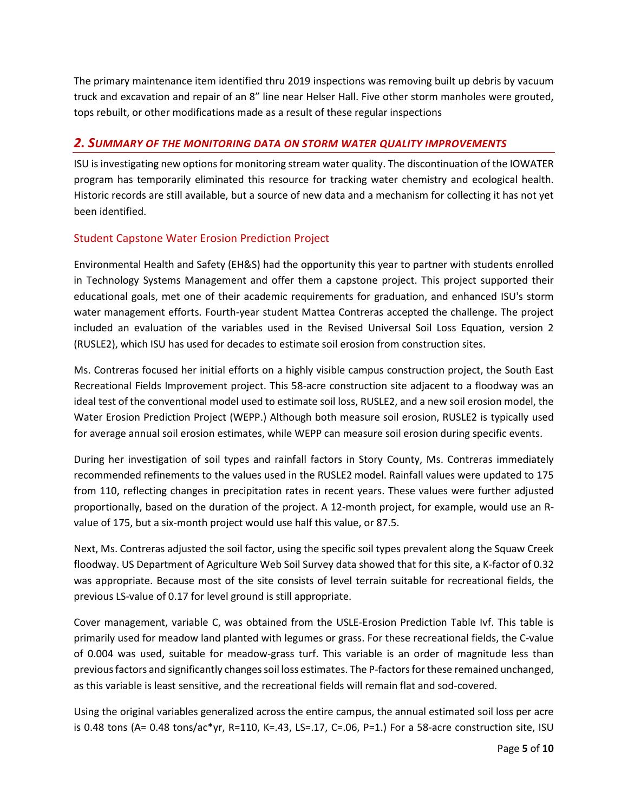The primary maintenance item identified thru 2019 inspections was removing built up debris by vacuum truck and excavation and repair of an 8" line near Helser Hall. Five other storm manholes were grouted, tops rebuilt, or other modifications made as a result of these regular inspections

## *2. SUMMARY OF THE MONITORING DATA ON STORM WATER QUALITY IMPROVEMENTS*

ISU is investigating new options for monitoring stream water quality. The discontinuation of the IOWATER program has temporarily eliminated this resource for tracking water chemistry and ecological health. Historic records are still available, but a source of new data and a mechanism for collecting it has not yet been identified.

## Student Capstone Water Erosion Prediction Project

Environmental Health and Safety (EH&S) had the opportunity this year to partner with students enrolled in Technology Systems Management and offer them a capstone project. This project supported their educational goals, met one of their academic requirements for graduation, and enhanced ISU's storm water management efforts. Fourth-year student Mattea Contreras accepted the challenge. The project included an evaluation of the variables used in the Revised Universal Soil Loss Equation, version 2 (RUSLE2), which ISU has used for decades to estimate soil erosion from construction sites.

Ms. Contreras focused her initial efforts on a highly visible campus construction project, the South East Recreational Fields Improvement project. This 58-acre construction site adjacent to a floodway was an ideal test of the conventional model used to estimate soil loss, RUSLE2, and a new soil erosion model, the Water Erosion Prediction Project (WEPP.) Although both measure soil erosion, RUSLE2 is typically used for average annual soil erosion estimates, while WEPP can measure soil erosion during specific events.

During her investigation of soil types and rainfall factors in Story County, Ms. Contreras immediately recommended refinements to the values used in the RUSLE2 model. Rainfall values were updated to 175 from 110, reflecting changes in precipitation rates in recent years. These values were further adjusted proportionally, based on the duration of the project. A 12-month project, for example, would use an Rvalue of 175, but a six-month project would use half this value, or 87.5.

Next, Ms. Contreras adjusted the soil factor, using the specific soil types prevalent along the Squaw Creek floodway. US Department of Agriculture Web Soil Survey data showed that for this site, a K-factor of 0.32 was appropriate. Because most of the site consists of level terrain suitable for recreational fields, the previous LS-value of 0.17 for level ground is still appropriate.

Cover management, variable C, was obtained from the USLE-Erosion Prediction Table Ivf. This table is primarily used for meadow land planted with legumes or grass. For these recreational fields, the C-value of 0.004 was used, suitable for meadow-grass turf. This variable is an order of magnitude less than previous factors and significantly changes soil loss estimates. The P-factors for these remained unchanged, as this variable is least sensitive, and the recreational fields will remain flat and sod-covered.

Using the original variables generalized across the entire campus, the annual estimated soil loss per acre is 0.48 tons (A=  $0.48$  tons/ac\*yr, R=110, K=.43, LS=.17, C=.06, P=1.) For a 58-acre construction site, ISU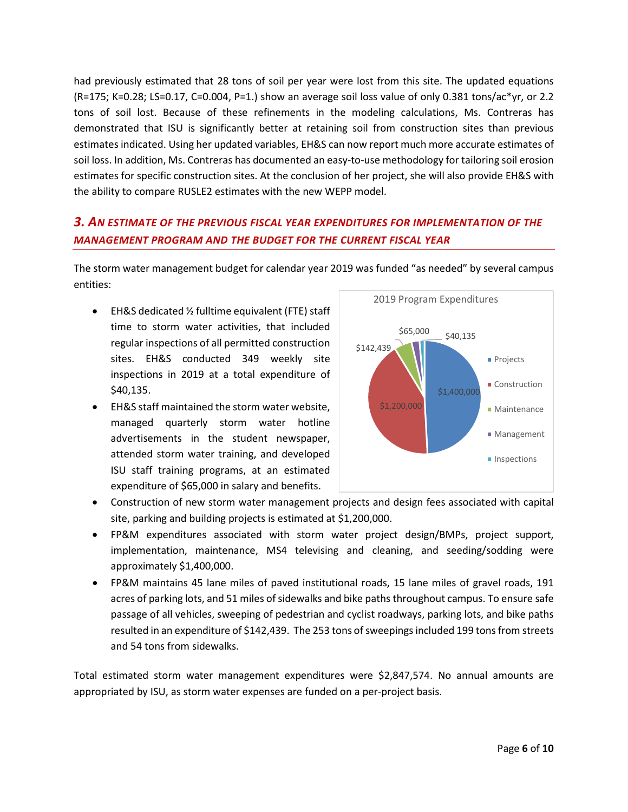had previously estimated that 28 tons of soil per year were lost from this site. The updated equations (R=175; K=0.28; LS=0.17, C=0.004, P=1.) show an average soil loss value of only 0.381 tons/ac\*yr, or 2.2 tons of soil lost. Because of these refinements in the modeling calculations, Ms. Contreras has demonstrated that ISU is significantly better at retaining soil from construction sites than previous estimates indicated. Using her updated variables, EH&S can now report much more accurate estimates of soil loss. In addition, Ms. Contreras has documented an easy-to-use methodology for tailoring soil erosion estimates for specific construction sites. At the conclusion of her project, she will also provide EH&S with the ability to compare RUSLE2 estimates with the new WEPP model.

# *3. AN ESTIMATE OF THE PREVIOUS FISCAL YEAR EXPENDITURES FOR IMPLEMENTATION OF THE MANAGEMENT PROGRAM AND THE BUDGET FOR THE CURRENT FISCAL YEAR*

The storm water management budget for calendar year 2019 was funded "as needed" by several campus entities:

- EH&S dedicated ½ fulltime equivalent (FTE) staff time to storm water activities, that included regular inspections of all permitted construction sites. EH&S conducted 349 weekly site inspections in 2019 at a total expenditure of \$40,135.
- EH&S staff maintained the storm water website, managed quarterly storm water hotline advertisements in the student newspaper, attended storm water training, and developed ISU staff training programs, at an estimated expenditure of \$65,000 in salary and benefits.



- Construction of new storm water management projects and design fees associated with capital site, parking and building projects is estimated at \$1,200,000.
- FP&M expenditures associated with storm water project design/BMPs, project support, implementation, maintenance, MS4 televising and cleaning, and seeding/sodding were approximately \$1,400,000.
- FP&M maintains 45 lane miles of paved institutional roads, 15 lane miles of gravel roads, 191 acres of parking lots, and 51 miles of sidewalks and bike paths throughout campus. To ensure safe passage of all vehicles, sweeping of pedestrian and cyclist roadways, parking lots, and bike paths resulted in an expenditure of \$142,439. The 253 tons of sweepings included 199 tons from streets and 54 tons from sidewalks.

Total estimated storm water management expenditures were \$2,847,574. No annual amounts are appropriated by ISU, as storm water expenses are funded on a per-project basis.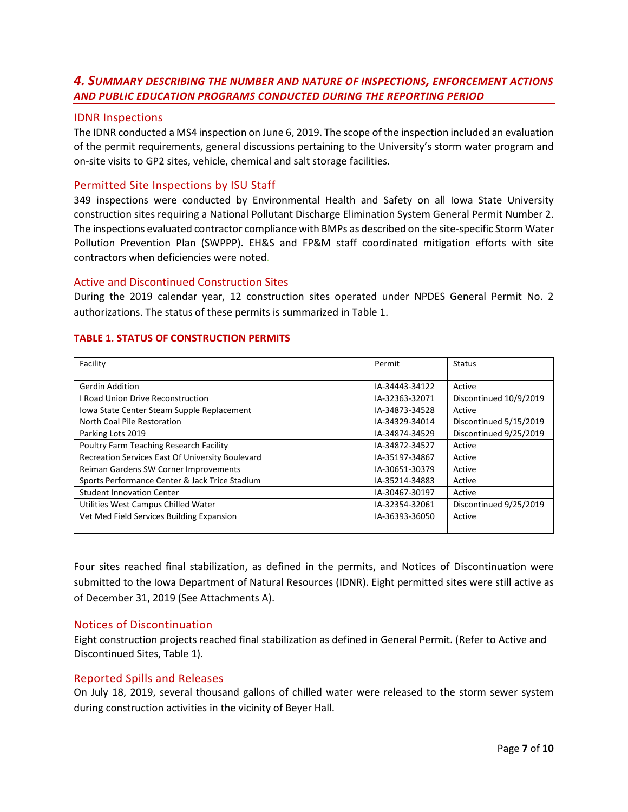## *4. SUMMARY DESCRIBING THE NUMBER AND NATURE OF INSPECTIONS, ENFORCEMENT ACTIONS AND PUBLIC EDUCATION PROGRAMS CONDUCTED DURING THE REPORTING PERIOD*

#### IDNR Inspections

The IDNR conducted a MS4 inspection on June 6, 2019. The scope of the inspection included an evaluation of the permit requirements, general discussions pertaining to the University's storm water program and on-site visits to GP2 sites, vehicle, chemical and salt storage facilities.

#### Permitted Site Inspections by ISU Staff

349 inspections were conducted by Environmental Health and Safety on all Iowa State University construction sites requiring a National Pollutant Discharge Elimination System General Permit Number 2. The inspections evaluated contractor compliance with BMPs as described on the site-specific Storm Water Pollution Prevention Plan (SWPPP). EH&S and FP&M staff coordinated mitigation efforts with site contractors when deficiencies were noted.

#### Active and Discontinued Construction Sites

During the 2019 calendar year, 12 construction sites operated under NPDES General Permit No. 2 authorizations. The status of these permits is summarized in Table 1.

#### **TABLE 1. STATUS OF CONSTRUCTION PERMITS**

| Facility                                         | Permit         | <b>Status</b>          |
|--------------------------------------------------|----------------|------------------------|
|                                                  |                |                        |
| <b>Gerdin Addition</b>                           | IA-34443-34122 | Active                 |
| <b>Road Union Drive Reconstruction</b>           | IA-32363-32071 | Discontinued 10/9/2019 |
| Iowa State Center Steam Supple Replacement       | IA-34873-34528 | Active                 |
| North Coal Pile Restoration                      | IA-34329-34014 | Discontinued 5/15/2019 |
| Parking Lots 2019                                | IA-34874-34529 | Discontinued 9/25/2019 |
| Poultry Farm Teaching Research Facility          | IA-34872-34527 | Active                 |
| Recreation Services East Of University Boulevard | IA-35197-34867 | Active                 |
| Reiman Gardens SW Corner Improvements            | IA-30651-30379 | Active                 |
| Sports Performance Center & Jack Trice Stadium   | IA-35214-34883 | Active                 |
| <b>Student Innovation Center</b>                 | IA-30467-30197 | Active                 |
| Utilities West Campus Chilled Water              | IA-32354-32061 | Discontinued 9/25/2019 |
| Vet Med Field Services Building Expansion        | IA-36393-36050 | Active                 |
|                                                  |                |                        |

Four sites reached final stabilization, as defined in the permits, and Notices of Discontinuation were submitted to the Iowa Department of Natural Resources (IDNR). Eight permitted sites were still active as of December 31, 2019 (See Attachments A).

#### Notices of Discontinuation

Eight construction projects reached final stabilization as defined in General Permit. (Refer to Active and Discontinued Sites, Table 1).

#### Reported Spills and Releases

On July 18, 2019, several thousand gallons of chilled water were released to the storm sewer system during construction activities in the vicinity of Beyer Hall.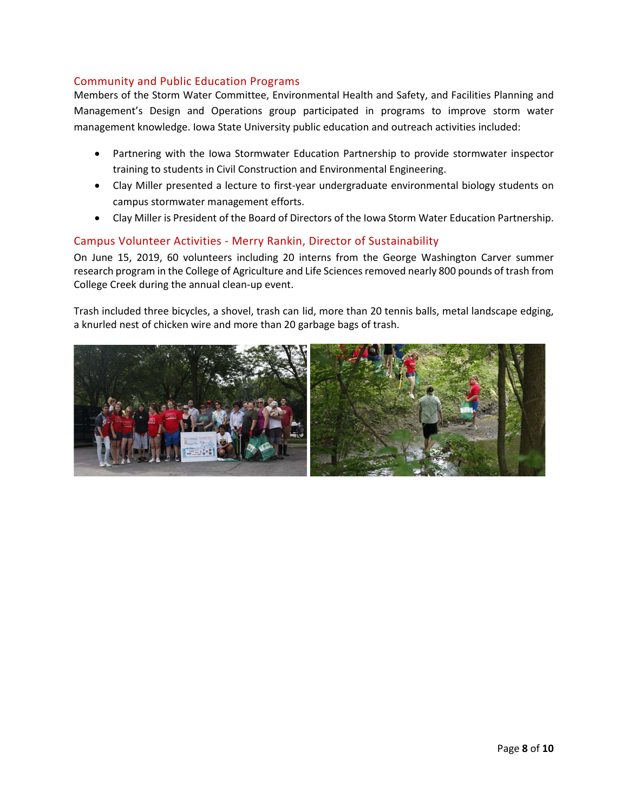## Community and Public Education Programs

Members of the Storm Water Committee, Environmental Health and Safety, and Facilities Planning and Management's Design and Operations group participated in programs to improve storm water management knowledge. Iowa State University public education and outreach activities included:

- Partnering with the Iowa Stormwater Education Partnership to provide stormwater inspector training to students in Civil Construction and Environmental Engineering.
- Clay Miller presented a lecture to first-year undergraduate environmental biology students on campus stormwater management efforts.
- Clay Miller is President of the Board of Directors of the Iowa Storm Water Education Partnership.

## Campus Volunteer Activities - Merry Rankin, Director of Sustainability

On June 15, 2019, 60 volunteers including 20 interns from the George Washington Carver summer research program in the College of Agriculture and Life Sciences removed nearly 800 pounds of trash from College Creek during the annual clean-up event.

Trash included three bicycles, a shovel, trash can lid, more than 20 tennis balls, metal landscape edging, a knurled nest of chicken wire and more than 20 garbage bags of trash.

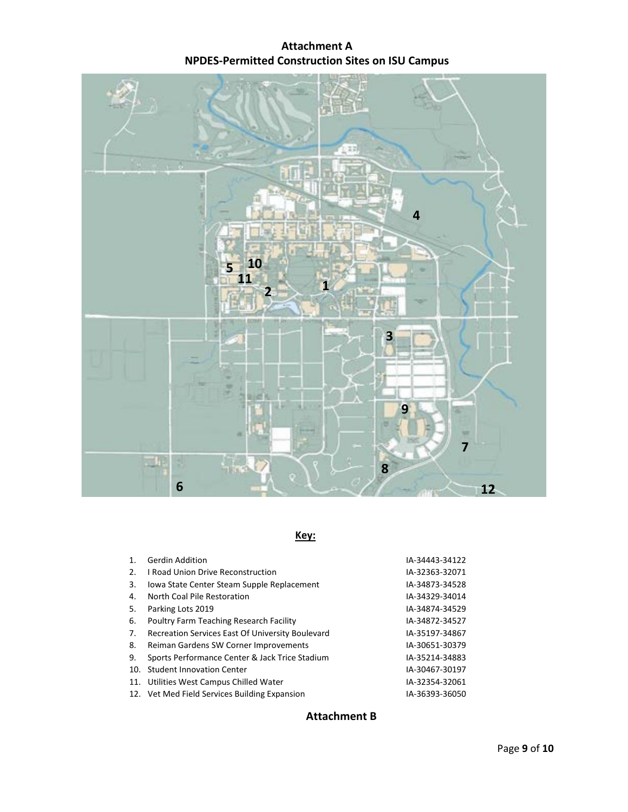# **Attachment A NPDES-Permitted Construction Sites on ISU Campus**



# **Key:**

| 1. | <b>Gerdin Addition</b>                           | IA-34443-34122 |
|----|--------------------------------------------------|----------------|
| 2. | <b>I Road Union Drive Reconstruction</b>         | IA-32363-32071 |
| 3. | Iowa State Center Steam Supple Replacement       | IA-34873-34528 |
| 4. | North Coal Pile Restoration                      | IA-34329-34014 |
| 5. | Parking Lots 2019                                | IA-34874-34529 |
| 6. | Poultry Farm Teaching Research Facility          | IA-34872-34527 |
| 7. | Recreation Services East Of University Boulevard | IA-35197-34867 |
| 8. | Reiman Gardens SW Corner Improvements            | IA-30651-30379 |
| 9. | Sports Performance Center & Jack Trice Stadium   | IA-35214-34883 |
|    | 10. Student Innovation Center                    | IA-30467-30197 |
|    | 11. Utilities West Campus Chilled Water          | IA-32354-32061 |
|    | 12. Vet Med Field Services Building Expansion    | IA-36393-36050 |

# **Attachment B**